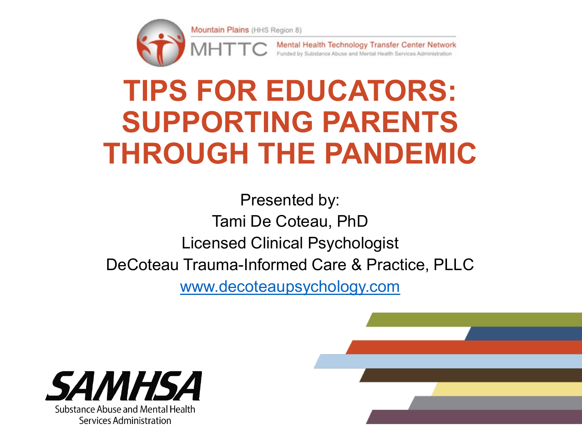

Mental Health Technology Transfer Center Network Funded by Substance Abuse and Mental Health Services Administration

#### **TIPS FOR EDUCATORS: SUPPORTING PARENTS THROUGH THE PANDEMIC**

Presented by: Tami De Coteau, PhD Licensed Clinical Psychologist DeCoteau Trauma-Informed Care & Practice, PLLC [www.decoteaupsychology.com](http://www.decoteaupsychology.com/)

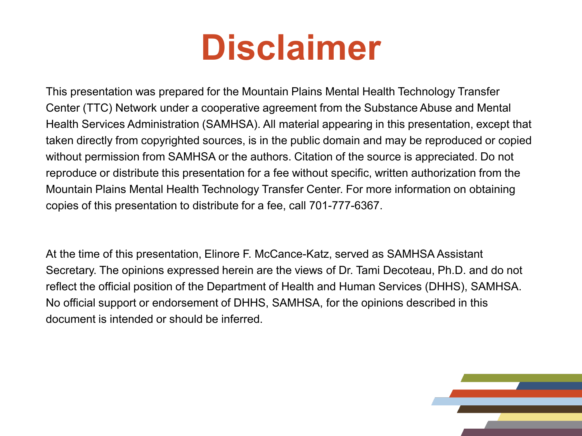## **Disclaimer**

This presentation was prepared for the Mountain Plains Mental Health Technology Transfer Center (TTC) Network under a cooperative agreement from the Substance Abuse and Mental Health Services Administration (SAMHSA). All material appearing in this presentation, except that taken directly from copyrighted sources, is in the public domain and may be reproduced or copied without permission from SAMHSA or the authors. Citation of the source is appreciated. Do not reproduce or distribute this presentation for a fee without specific, written authorization from the Mountain Plains Mental Health Technology Transfer Center. For more information on obtaining copies of this presentation to distribute for a fee, call 701-777-6367.

At the time of this presentation, Elinore F. McCance-Katz, served as SAMHSA Assistant Secretary. The opinions expressed herein are the views of Dr. Tami Decoteau, Ph.D. and do not reflect the official position of the Department of Health and Human Services (DHHS), SAMHSA. No official support or endorsement of DHHS, SAMHSA, for the opinions described in this document is intended or should be inferred.

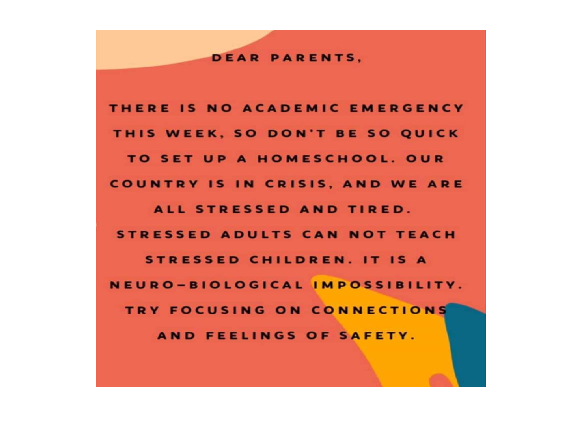#### **DEAR PARENTS.**

THERE IS NO ACADEMIC EMERGENCY THIS WEEK, SO DON'T BE SO QUICK TO SET UP A HOMESCHOOL. OUR **COUNTRY IS IN CRISIS, AND WE ARE** ALL STRESSED AND TIRED. **STRESSED ADULTS CAN NOT TEACH STRESSED CHILDREN. IT IS A** NEURO-BIOLOGICAL IMPOSSIBILITY. TRY FOCUSING ON CONNECTIONS AND FEELINGS OF SAFETY.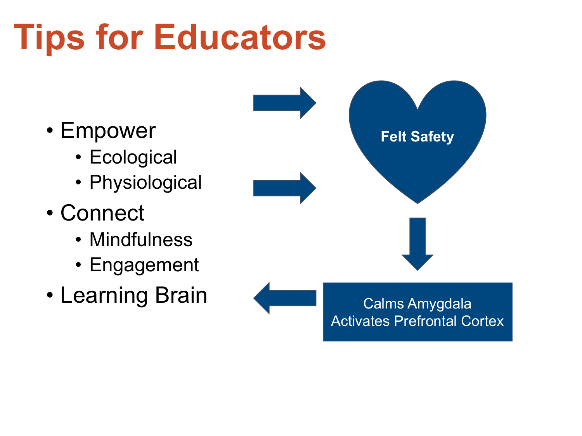## **Tips for Educators**

- Empower
	- Ecological
	- Physiological
- Connect
	- Mindfulness
	- Engagement
- Learning Brain

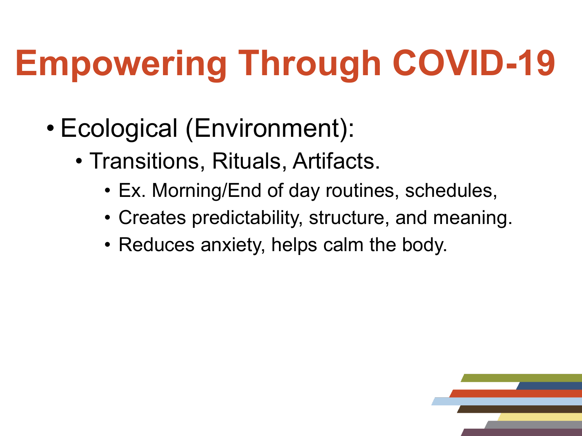# **Empowering Through COVID-19**

- Ecological (Environment):
	- Transitions, Rituals, Artifacts.
		- Ex. Morning/End of day routines, schedules,
		- Creates predictability, structure, and meaning.
		- Reduces anxiety, helps calm the body.

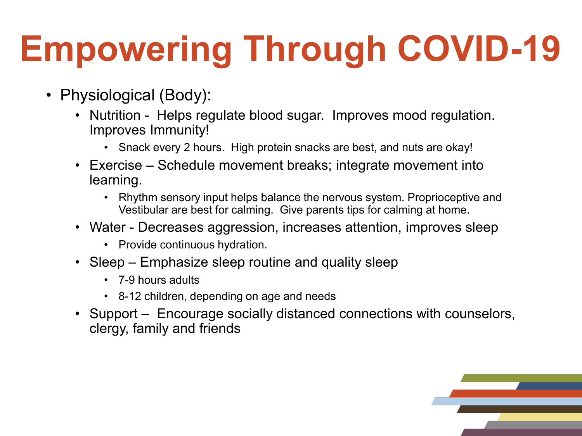## **Empowering Through COVID-19**

- Physiological (Body):
	- Nutrition Helps regulate blood sugar. Improves mood regulation. Improves Immunity!
		- Snack every 2 hours. High protein snacks are best, and nuts are okay!
	- Exercise Schedule movement breaks; integrate movement into learning.
		- Rhythm sensory input helps balance the nervous system. Proprioceptive and Vestibular are best for calming. Give parents tips for calming at home.
	- Water Decreases aggression, increases attention, improves sleep
		- Provide continuous hydration.
	- Sleep Emphasize sleep routine and quality sleep
		- 7-9 hours adults
		- 8-12 children, depending on age and needs
	- Support Encourage socially distanced connections with counselors, clergy, family and friends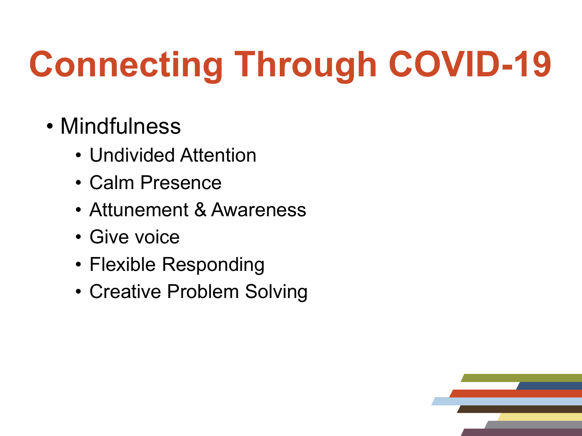# **Connecting Through COVID-19**

- Mindfulness
	- Undivided Attention
	- Calm Presence
	- Attunement & Awareness
	- Give voice
	- Flexible Responding
	- Creative Problem Solving

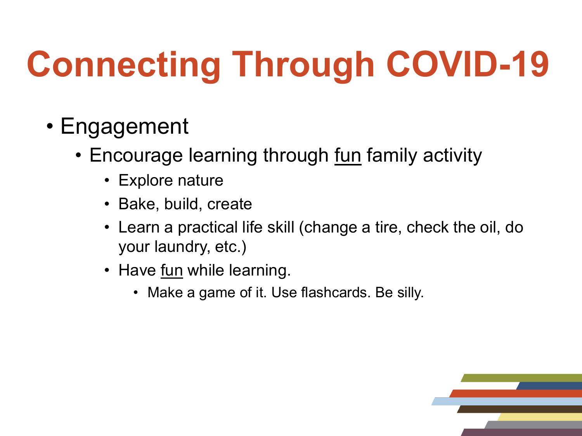# **Connecting Through COVID-19**

- Engagement
	- Encourage learning through fun family activity
		- Explore nature
		- Bake, build, create
		- Learn a practical life skill (change a tire, check the oil, do your laundry, etc.)
		- Have fun while learning.
			- Make a game of it. Use flashcards. Be silly.

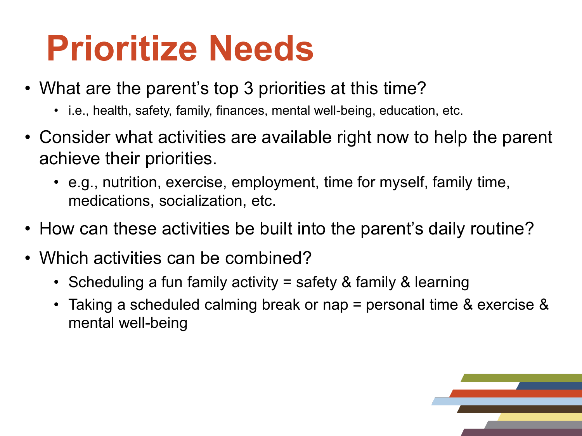## **Prioritize Needs**

- What are the parent's top 3 priorities at this time?
	- i.e., health, safety, family, finances, mental well-being, education, etc.
- Consider what activities are available right now to help the parent achieve their priorities.
	- e.g., nutrition, exercise, employment, time for myself, family time, medications, socialization, etc.
- How can these activities be built into the parent's daily routine?
- Which activities can be combined?
	- Scheduling a fun family activity = safety & family & learning
	- Taking a scheduled calming break or nap = personal time & exercise & mental well-being

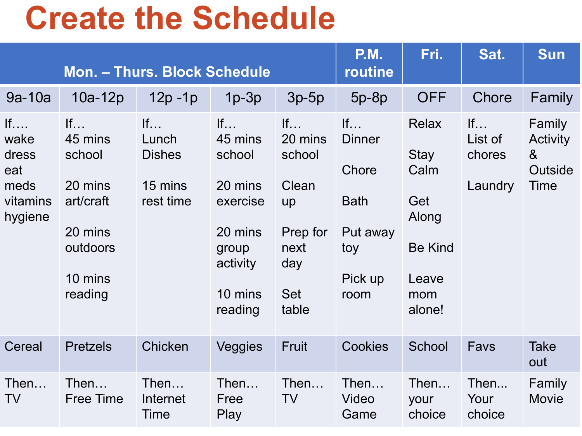## **Create the Schedule**

| Mon. - Thurs. Block Schedule                              |                                                                                              |                                                      |                                                                                                      |                                                                                          | <b>P.M.</b><br>routine                                                            | Fri.                                                                                     | Sat.                               | <b>Sun</b>                                              |
|-----------------------------------------------------------|----------------------------------------------------------------------------------------------|------------------------------------------------------|------------------------------------------------------------------------------------------------------|------------------------------------------------------------------------------------------|-----------------------------------------------------------------------------------|------------------------------------------------------------------------------------------|------------------------------------|---------------------------------------------------------|
| $9a-10a$                                                  | $10a-12p$                                                                                    | $12p - 1p$                                           | $1p-3p$                                                                                              | $3p-5p$                                                                                  | $5p-8p$                                                                           | <b>OFF</b>                                                                               | Chore                              | Family                                                  |
| If<br>wake<br>dress<br>eat<br>meds<br>vitamins<br>hygiene | If<br>45 mins<br>school<br>20 mins<br>art/craft<br>20 mins<br>outdoors<br>10 mins<br>reading | If<br>Lunch<br><b>Dishes</b><br>15 mins<br>rest time | If<br>45 mins<br>school<br>20 mins<br>exercise<br>20 mins<br>group<br>activity<br>10 mins<br>reading | If<br>20 mins<br>school<br>Clean<br>up<br>Prep for<br>next<br>day<br><b>Set</b><br>table | If<br><b>Dinner</b><br>Chore<br><b>Bath</b><br>Put away<br>toy<br>Pick up<br>room | <b>Relax</b><br>Stay<br>Calm<br>Get<br>Along<br><b>Be Kind</b><br>Leave<br>mom<br>alone! | If<br>List of<br>chores<br>Laundry | Family<br>Activity<br>8 <sub>l</sub><br>Outside<br>Time |
| Cereal                                                    | <b>Pretzels</b>                                                                              | Chicken                                              | Veggies                                                                                              | <b>Fruit</b>                                                                             | <b>Cookies</b>                                                                    | School                                                                                   | Favs                               | <b>Take</b><br>out                                      |
| Then<br>TV                                                | Then<br><b>Free Time</b>                                                                     | Then<br>Internet<br>Time                             | Then<br>Free<br>Play                                                                                 | Then<br><b>TV</b>                                                                        | Then<br>Video<br>Game                                                             | Then<br>your<br>choice                                                                   | Then<br>Your<br>choice             | Family<br>Movie                                         |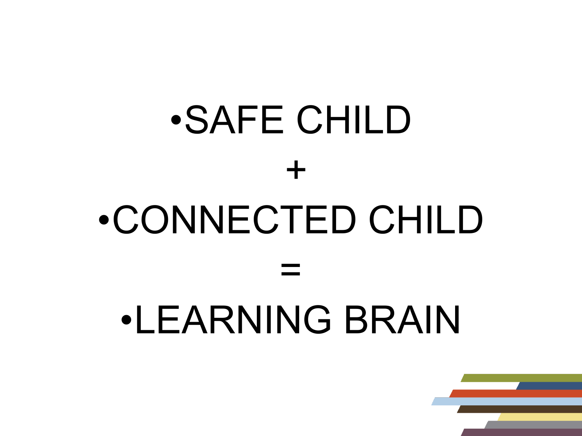# •SAFE CHILD + •CONNECTED CHILD = •LEARNING BRAIN

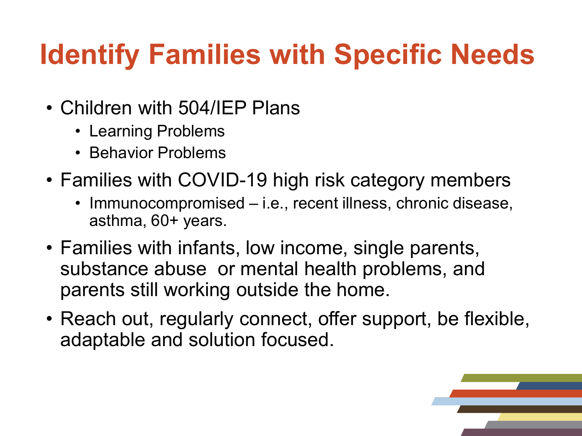## **Identify Families with Specific Needs**

- Children with 504/IEP Plans
	- Learning Problems
	- Behavior Problems
- Families with COVID-19 high risk category members
	- Immunocompromised i.e., recent illness, chronic disease, asthma, 60+ years.
- Families with infants, low income, single parents, substance abuse or mental health problems, and parents still working outside the home.
- Reach out, regularly connect, offer support, be flexible, adaptable and solution focused.

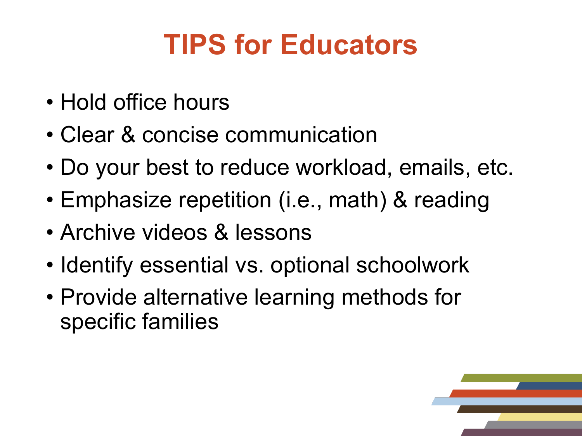### **TIPS for Educators**

- Hold office hours
- Clear & concise communication
- Do your best to reduce workload, emails, etc.
- Emphasize repetition (i.e., math) & reading
- Archive videos & lessons
- Identify essential vs. optional schoolwork
- Provide alternative learning methods for specific families

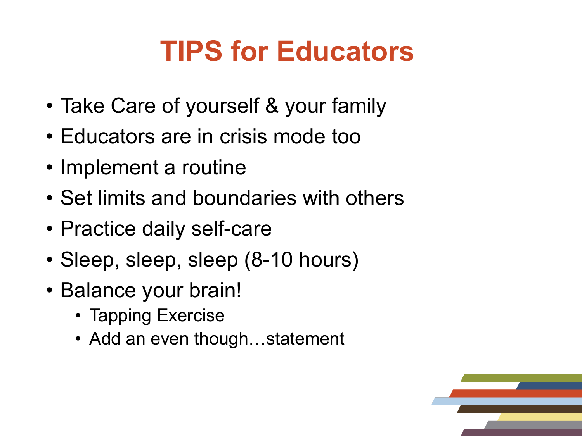#### **TIPS for Educators**

- Take Care of yourself & your family
- Educators are in crisis mode too
- Implement a routine
- Set limits and boundaries with others
- Practice daily self-care
- Sleep, sleep, sleep (8-10 hours)
- Balance your brain!
	- Tapping Exercise
	- Add an even though...statement

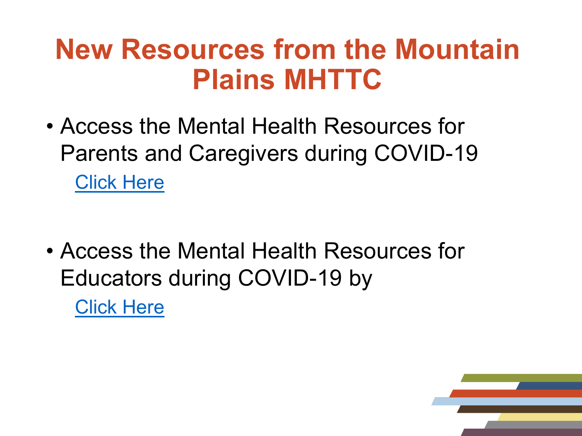#### **New Resources from the Mountain Plains MHTTC**

- Access the Mental Health Resources for Parents and Caregivers during COVID-19 [Click Here](https://mhttcnetwork.org/centers/mountain-plains-mhttc/product/mental-health-resources-parents-and-caregivers-during-covid)
- Access the Mental Health Resources for Educators during COVID-19 by [Click Here](https://mhttcnetwork.org/centers/mountain-plains-mhttc/product/mental-health-resources-k-12-educators-during-covid-19)